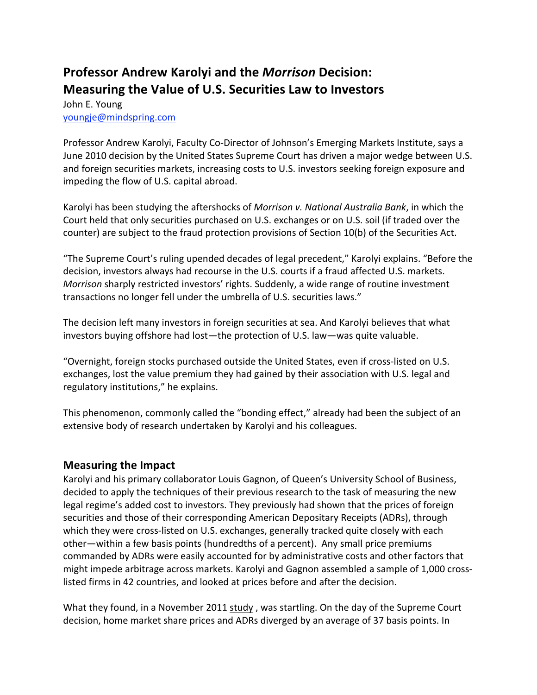## **Professor Andrew Karolyi and the** *Morrison* **Decision: Measuring the Value of U.S. Securities Law to Investors**

John E. Young [youngje@mindspring.com](mailto:youngje@mindspring.com)

Professor Andrew Karolyi, Faculty Co‐Director of Johnson's Emerging Markets Institute, says a June 2010 decision by the United States Supreme Court has driven a major wedge between U.S. and foreign securities markets, increasing costs to U.S. investors seeking foreign exposure and impeding the flow of U.S. capital abroad.

Karolyi has been studying the aftershocks of *Morrison v. National Australia Bank*, in which the Court held that only securities purchased on U.S. exchanges or on U.S. soil (if traded over the counter) are subject to the fraud protection provisions of Section 10(b) of the Securities Act.

"The Supreme Court's ruling upended decades of legal precedent," Karolyi explains. "Before the decision, investors always had recourse in the U.S. courts if a fraud affected U.S. markets. *Morrison* sharply restricted investors' rights. Suddenly, a wide range of routine investment transactions no longer fell under the umbrella of U.S. securities laws."

The decision left many investors in foreign securities at sea. And Karolyi believes that what investors buying offshore had lost—the protection of U.S. law—was quite valuable.

"Overnight, foreign stocks purchased outside the United States, even if cross‐listed on U.S. exchanges, lost the value premium they had gained by their association with U.S. legal and regulatory institutions," he explains.

This phenomenon, commonly called the "bonding effect," already had been the subject of an extensive body of research undertaken by Karolyi and his colleagues.

## **Measuring the Impact**

Karolyi and his primary collaborator Louis Gagnon, of Queen's University School of Business, decided to apply the techniques of their previous research to the task of measuring the new legal regime's added cost to investors. They previously had shown that the prices of foreign securities and those of their corresponding American Depositary Receipts (ADRs), through which they were cross-listed on U.S. exchanges, generally tracked quite closely with each other—within a few basis points (hundredths of a percent). Any small price premiums commanded by ADRs were easily accounted for by administrative costs and other factors that might impede arbitrage across markets. Karolyi and Gagnon assembled a sample of 1,000 cross‐ listed firms in 42 countries, and looked at prices before and after the decision.

What they found, in a November 2011 study, was startling. On the day of the Supreme Court decision, home market share prices and ADRs diverged by an average of 37 basis points. In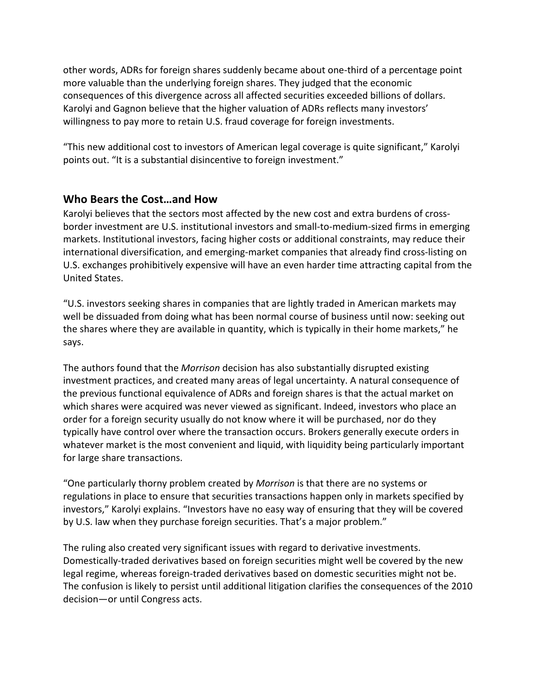other words, ADRs for foreign shares suddenly became about one‐third of a percentage point more valuable than the underlying foreign shares. They judged that the economic consequences of this divergence across all affected securities exceeded billions of dollars. Karolyi and Gagnon believe that the higher valuation of ADRs reflects many investors' willingness to pay more to retain U.S. fraud coverage for foreign investments.

"This new additional cost to investors of American legal coverage is quite significant," Karolyi points out. "It is a substantial disincentive to foreign investment."

## **Who Bears the Cost…and How**

Karolyi believes that the sectors most affected by the new cost and extra burdens of crossborder investment are U.S. institutional investors and small‐to‐medium‐sized firms in emerging markets. Institutional investors, facing higher costs or additional constraints, may reduce their international diversification, and emerging‐market companies that already find cross‐listing on U.S. exchanges prohibitively expensive will have an even harder time attracting capital from the United States.

"U.S. investors seeking shares in companies that are lightly traded in American markets may well be dissuaded from doing what has been normal course of business until now: seeking out the shares where they are available in quantity, which is typically in their home markets," he says.

The authors found that the *Morrison* decision has also substantially disrupted existing investment practices, and created many areas of legal uncertainty. A natural consequence of the previous functional equivalence of ADRs and foreign shares is that the actual market on which shares were acquired was never viewed as significant. Indeed, investors who place an order for a foreign security usually do not know where it will be purchased, nor do they typically have control over where the transaction occurs. Brokers generally execute orders in whatever market is the most convenient and liquid, with liquidity being particularly important for large share transactions.

"One particularly thorny problem created by *Morrison* is that there are no systems or regulations in place to ensure that securities transactions happen only in markets specified by investors," Karolyi explains. "Investors have no easy way of ensuring that they will be covered by U.S. law when they purchase foreign securities. That's a major problem."

The ruling also created very significant issues with regard to derivative investments. Domestically‐traded derivatives based on foreign securities might well be covered by the new legal regime, whereas foreign-traded derivatives based on domestic securities might not be. The confusion is likely to persist until additional litigation clarifies the consequences of the 2010 decision—or until Congress acts.